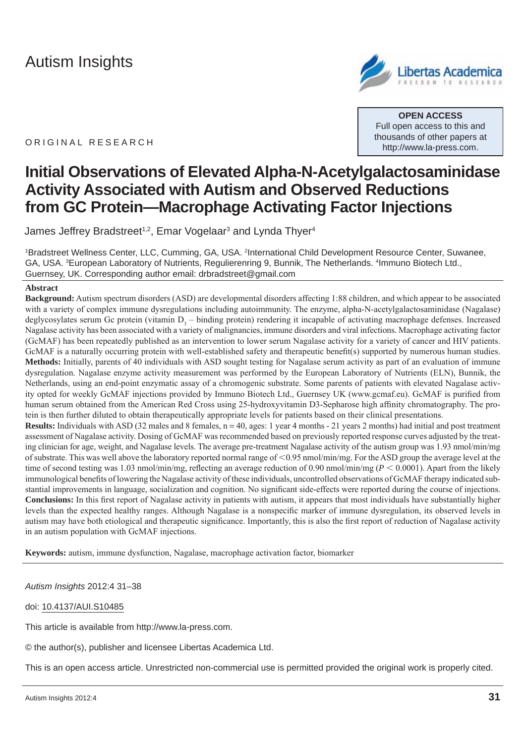**Libertas Acad** 

ORIGINAL RESEARCH

**OPEN ACCESS** Full open access to this and thousands of other papers at http://www.la-press.com.

# **Initial Observations of Elevated Alpha-N-Acetylgalactosaminidase Activity Associated with Autism and Observed Reductions from GC Protein—Macrophage Activating Factor Injections**

James Jeffrey Bradstreet<sup>1,2</sup>, Emar Vogelaar<sup>3</sup> and Lynda Thyer<sup>4</sup>

<sup>1</sup>Bradstreet Wellness Center, LLC, Cumming, GA, USA. <sup>2</sup>International Child Development Resource Center, Suwanee, GA, USA. <sup>3</sup>European Laboratory of Nutrients, Regulierenring 9, Bunnik, The Netherlands. <sup>4</sup>Immuno Biotech Ltd., Guernsey, UK. Corresponding author email: drbradstreet@gmail.com

#### **Abstract**

**Background:** Autism spectrum disorders (ASD) are developmental disorders affecting 1:88 children, and which appear to be associated with a variety of complex immune dysregulations including autoimmunity. The enzyme, alpha-N-acetylgalactosaminidase (Nagalase) deglycosylates serum Gc protein (vitamin  $D_3$  – binding protein) rendering it incapable of activating macrophage defenses. Increased Nagalase activity has been associated with a variety of malignancies, immune disorders and viral infections. Macrophage activating factor (GcMAF) has been repeatedly published as an intervention to lower serum Nagalase activity for a variety of cancer and HIV patients. GcMAF is a naturally occurring protein with well-established safety and therapeutic benefit(s) supported by numerous human studies. **Methods:** Initially, parents of 40 individuals with ASD sought testing for Nagalase serum activity as part of an evaluation of immune dysregulation. Nagalase enzyme activity measurement was performed by the European Laboratory of Nutrients (ELN), Bunnik, the Netherlands, using an end-point enzymatic assay of a chromogenic substrate. Some parents of patients with elevated Nagalase activity opted for weekly GcMAF injections provided by Immuno Biotech Ltd., Guernsey UK (www.gcmaf.eu). GcMAF is purified from human serum obtained from the American Red Cross using 25-hydroxyvitamin D3-Sepharose high affinity chromatography. The protein is then further diluted to obtain therapeutically appropriate levels for patients based on their clinical presentations. **Results:** Individuals with ASD (32 males and 8 females,  $n = 40$ , ages: 1 year 4 months - 21 years 2 months) had initial and post treatment

assessment of Nagalase activity. Dosing of GcMAF was recommended based on previously reported response curves adjusted by the treating clinician for age, weight, and Nagalase levels. The average pre-treatment Nagalase activity of the autism group was 1.93 nmol/min/mg of substrate. This was well above the laboratory reported normal range of <0.95 nmol/min/mg. For the ASD group the average level at the time of second testing was 1.03 nmol/min/mg, reflecting an average reduction of 0.90 nmol/min/mg ( $P < 0.0001$ ). Apart from the likely immunological benefits of lowering the Nagalase activity of these individuals, uncontrolled observations of GcMAF therapy indicated substantial improvements in language, socialization and cognition. No significant side-effects were reported during the course of injections. **Conclusions:** In this first report of Nagalase activity in patients with autism, it appears that most individuals have substantially higher levels than the expected healthy ranges. Although Nagalase is a nonspecific marker of immune dysregulation, its observed levels in autism may have both etiological and therapeutic significance. Importantly, this is also the first report of reduction of Nagalase activity in an autism population with GcMAF injections.

**Keywords:** autism, immune dysfunction, Nagalase, macrophage activation factor, biomarker

*Autism Insights* 2012:4 31–38

#### doi: 10.4137/AUI.S10485

This article is available from http://www.la-press.com.

© the author(s), publisher and licensee Libertas Academica Ltd.

This is an open access article. Unrestricted non-commercial use is permitted provided the original work is properly cited.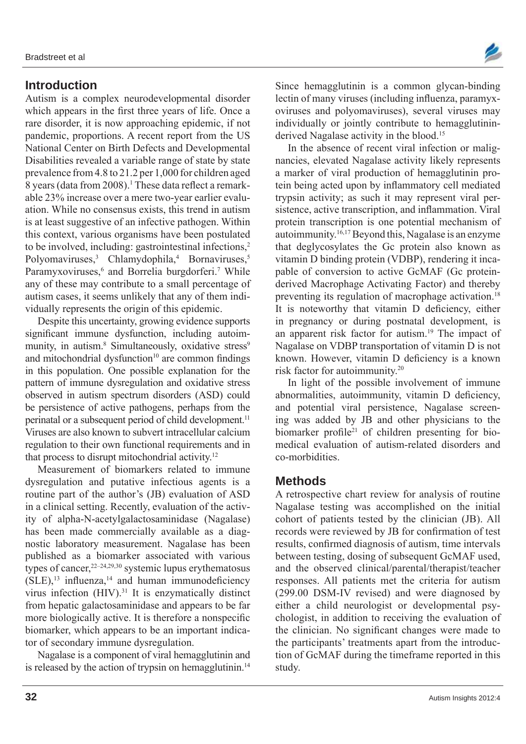#### **Introduction**

Autism is a complex neurodevelopmental disorder which appears in the first three years of life. Once a rare disorder, it is now approaching epidemic, if not pandemic, proportions. A recent report from the US National Center on Birth Defects and Developmental Disabilities revealed a variable range of state by state prevalence from 4.8 to 21.2 per 1,000 for children aged 8 years (data from 2008).<sup>1</sup> These data reflect a remarkable 23% increase over a mere two-year earlier evaluation. While no consensus exists, this trend in autism is at least suggestive of an infective pathogen. Within this context, various organisms have been postulated to be involved, including: gastrointestinal infections,<sup>2</sup> Polyomaviruses,<sup>3</sup> Chlamydophila,<sup>4</sup> Bornaviruses,<sup>5</sup> Paramyxoviruses,<sup>6</sup> and Borrelia burgdorferi.<sup>7</sup> While any of these may contribute to a small percentage of autism cases, it seems unlikely that any of them individually represents the origin of this epidemic.

Despite this uncertainty, growing evidence supports significant immune dysfunction, including autoimmunity, in autism.<sup>8</sup> Simultaneously, oxidative stress<sup>9</sup> and mitochondrial dysfunction $10$  are common findings in this population. One possible explanation for the pattern of immune dysregulation and oxidative stress observed in autism spectrum disorders (ASD) could be persistence of active pathogens, perhaps from the perinatal or a subsequent period of child development.<sup>11</sup> Viruses are also known to subvert intracellular calcium regulation to their own functional requirements and in that process to disrupt mitochondrial activity.12

Measurement of biomarkers related to immune dysregulation and putative infectious agents is a routine part of the author's (JB) evaluation of ASD in a clinical setting. Recently, evaluation of the activity of alpha-N-acetylgalactosaminidase (Nagalase) has been made commercially available as a diagnostic laboratory measurement. Nagalase has been published as a biomarker associated with various types of cancer,  $2^{2-24,29,30}$  systemic lupus erythematosus  $(SLE)$ ,<sup>13</sup> influenza,<sup>14</sup> and human immunodeficiency virus infection (HIV).31 It is enzymatically distinct from hepatic galactosaminidase and appears to be far more biologically active. It is therefore a nonspecific biomarker, which appears to be an important indicator of secondary immune dysregulation.

Nagalase is a component of viral hemagglutinin and is released by the action of trypsin on hemagglutinin.<sup>14</sup>



Since hemagglutinin is a common glycan-binding lectin of many viruses (including influenza, paramyxoviruses and polyomaviruses), several viruses may individually or jointly contribute to hemagglutininderived Nagalase activity in the blood.<sup>15</sup>

In the absence of recent viral infection or malignancies, elevated Nagalase activity likely represents a marker of viral production of hemagglutinin protein being acted upon by inflammatory cell mediated trypsin activity; as such it may represent viral persistence, active transcription, and inflammation. Viral protein transcription is one potential mechanism of autoimmunity.16,17 Beyond this, Nagalase is an enzyme that deglycosylates the Gc protein also known as vitamin D binding protein (VDBP), rendering it incapable of conversion to active GcMAF (Gc proteinderived Macrophage Activating Factor) and thereby preventing its regulation of macrophage activation.<sup>18</sup> It is noteworthy that vitamin D deficiency, either in pregnancy or during postnatal development, is an apparent risk factor for autism.19 The impact of Nagalase on VDBP transportation of vitamin D is not known. However, vitamin D deficiency is a known risk factor for autoimmunity.20

In light of the possible involvement of immune abnormalities, autoimmunity, vitamin D deficiency, and potential viral persistence, Nagalase screening was added by JB and other physicians to the biomarker profile<sup>21</sup> of children presenting for biomedical evaluation of autism-related disorders and co-morbidities.

#### **Methods**

A retrospective chart review for analysis of routine Nagalase testing was accomplished on the initial cohort of patients tested by the clinician (JB). All records were reviewed by JB for confirmation of test results, confirmed diagnosis of autism, time intervals between testing, dosing of subsequent GcMAF used, and the observed clinical/parental/therapist/teacher responses. All patients met the criteria for autism (299.00 DSM-IV revised) and were diagnosed by either a child neurologist or developmental psychologist, in addition to receiving the evaluation of the clinician. No significant changes were made to the participants' treatments apart from the introduction of GcMAF during the timeframe reported in this study.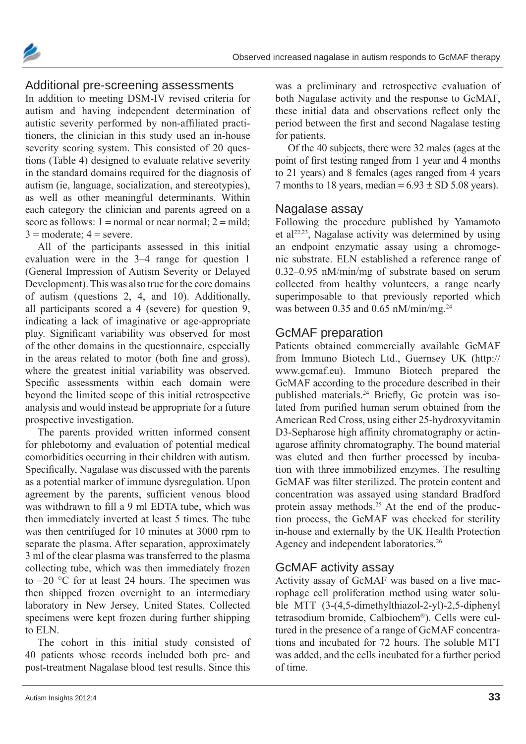



#### Additional pre-screening assessments

In addition to meeting DSM-IV revised criteria for autism and having independent determination of autistic severity performed by non-affiliated practitioners, the clinician in this study used an in-house severity scoring system. This consisted of 20 questions (Table 4) designed to evaluate relative severity in the standard domains required for the diagnosis of autism (ie, language, socialization, and stereotypies), as well as other meaningful determinants. Within each category the clinician and parents agreed on a score as follows:  $1 = normal$  or near normal;  $2 = mild$ ;  $3 = \text{moderate}$ ;  $4 = \text{severe}$ .

All of the participants assessed in this initial evaluation were in the 3–4 range for question 1 (General Impression of Autism Severity or Delayed Development). This was also true for the core domains of autism (questions 2, 4, and 10). Additionally, all participants scored a 4 (severe) for question 9, indicating a lack of imaginative or age-appropriate play. Significant variability was observed for most of the other domains in the questionnaire, especially in the areas related to motor (both fine and gross), where the greatest initial variability was observed. Specific assessments within each domain were beyond the limited scope of this initial retrospective analysis and would instead be appropriate for a future prospective investigation.

The parents provided written informed consent for phlebotomy and evaluation of potential medical comorbidities occurring in their children with autism. Specifically, Nagalase was discussed with the parents as a potential marker of immune dysregulation. Upon agreement by the parents, sufficient venous blood was withdrawn to fill a 9 ml EDTA tube, which was then immediately inverted at least 5 times. The tube was then centrifuged for 10 minutes at 3000 rpm to separate the plasma. After separation, approximately 3 ml of the clear plasma was transferred to the plasma collecting tube, which was then immediately frozen to  $-20$  °C for at least 24 hours. The specimen was then shipped frozen overnight to an intermediary laboratory in New Jersey, United States. Collected specimens were kept frozen during further shipping to ELN.

The cohort in this initial study consisted of 40 patients whose records included both pre- and post-treatment Nagalase blood test results. Since this

was a preliminary and retrospective evaluation of both Nagalase activity and the response to GcMAF, these initial data and observations reflect only the period between the first and second Nagalase testing for patients.

Of the 40 subjects, there were 32 males (ages at the point of first testing ranged from 1 year and 4 months to 21 years) and 8 females (ages ranged from 4 years 7 months to 18 years, median =  $6.93 \pm SD 5.08$  years).

#### Nagalase assay

Following the procedure published by Yamamoto et al<sup>22,23</sup>, Nagalase activity was determined by using an endpoint enzymatic assay using a chromogenic substrate. ELN established a reference range of 0.32–0.95 nM/min/mg of substrate based on serum collected from healthy volunteers, a range nearly superimposable to that previously reported which was between 0.35 and 0.65 nM/min/mg.<sup>24</sup>

#### GcMAF preparation

Patients obtained commercially available GcMAF from Immuno Biotech Ltd., Guernsey UK (http:// www.gcmaf.eu). Immuno Biotech prepared the GcMAF according to the procedure described in their published materials.<sup>24</sup> Briefly, Gc protein was isolated from purified human serum obtained from the American Red Cross, using either 25-hydroxyvitamin D3- Sepharose high affinity chromatography or actinagarose affinity chromatography. The bound material was eluted and then further processed by incubation with three immobilized enzymes. The resulting GcMAF was filter sterilized. The protein content and concentration was assayed using standard Bradford protein assay methods.<sup>25</sup> At the end of the production process, the GcMAF was checked for sterility in-house and externally by the UK Health Protection Agency and independent laboratories.26

#### GcMAF activity assay

Activity assay of GcMAF was based on a live macrophage cell proliferation method using water soluble MTT (3-(4,5-dimethylthiazol-2-yl)-2,5-diphenyl tetra sodium bromide, Calbiochem®). Cells were cultured in the presence of a range of GcMAF concentrations and incubated for 72 hours. The soluble MTT was added, and the cells incubated for a further period of time.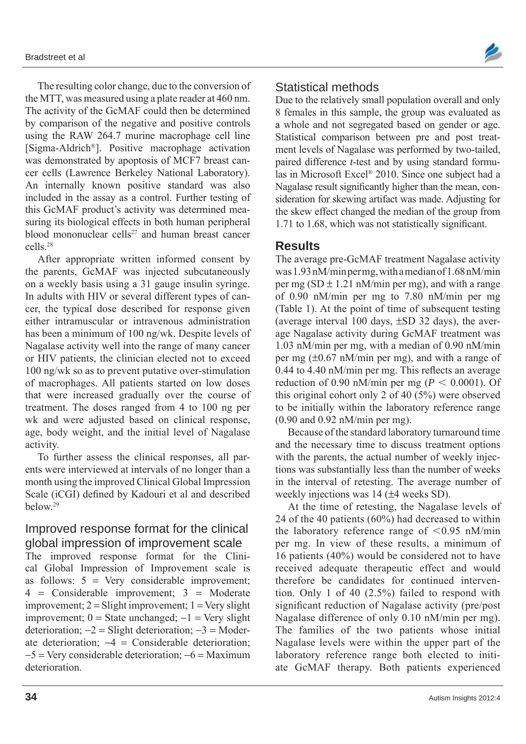The resulting color change, due to the conversion of the MTT, was measured using a plate reader at 460 nm. The activity of the GcMAF could then be determined by comparison of the negative and positive controls using the RAW 264.7 murine macrophage cell line [Sigma-Aldrich®]. Positive macrophage activation was demonstrated by apoptosis of MCF7 breast cancer cells (Lawrence Berkeley National Laboratory). An internally known positive standard was also included in the assay as a control. Further testing of this GcMAF product's activity was determined measuring its biological effects in both human peripheral blood mononuclear cells $27$  and human breast cancer cells.28

After appropriate written informed consent by the parents, GcMAF was injected subcutaneously on a weekly basis using a 31 gauge insulin syringe. In adults with HIV or several different types of cancer, the typical dose described for response given either intramuscular or intravenous administration has been a minimum of 100 ng/wk. Despite levels of Nagalase activity well into the range of many cancer or HIV patients, the clinician elected not to exceed 100 ng/wk so as to prevent putative over-stimulation of macrophages. All patients started on low doses that were increased gradually over the course of treatment. The doses ranged from 4 to 100 ng per wk and were adjusted based on clinical response, age, body weight, and the initial level of Nagalase activity.

To further assess the clinical responses, all parents were interviewed at intervals of no longer than a month using the improved Clinical Global Impression Scale (iCGI) defined by Kadouri et al and described below.29

## Improved response format for the clinical global impression of improvement scale

The improved response format for the Clinical Global Impression of Improvement scale is as follows:  $5 = \text{Very considerable improvement}$ ;  $4$  = Considerable improvement;  $3$  = Moderate improvement;  $2 =$  Slight improvement;  $1 =$  Very slight improvement;  $0 =$  State unchanged;  $-1 =$  Very slight deterioration;  $-2 =$  Slight deterioration;  $-3 =$  Moderate deterioration;  $-4 =$  Considerable deterioration;  $-5$  = Very considerable deterioration;  $-6$  = Maximum deterioration.



#### Statistical methods

Due to the relatively small population overall and only 8 females in this sample, the group was evaluated as a whole and not segregated based on gender or age. Statistical comparison between pre and post treatment levels of Nagalase was performed by two-tailed, paired difference *t*-test and by using standard formulas in Microsoft Excel® 2010. Since one subject had a Nagalase result significantly higher than the mean, consideration for skewing artifact was made. Adjusting for the skew effect changed the median of the group from 1.71 to 1.68, which was not statistically significant.

#### **Results**

The average pre-GcMAF treatment Nagalase activity was 1.93 nM/min per mg, with a median of 1.68 nM/min per mg (SD  $\pm$  1.21 nM/min per mg), and with a range of 0.90 nM/min per mg to 7.80 nM/min per mg (Table 1). At the point of time of subsequent testing (average interval 100 days,  $\pm$ SD 32 days), the average Nagalase activity during GcMAF treatment was 1.03 nM/min per mg, with a median of 0.90 nM/min per mg  $(\pm 0.67 \text{ nM/min per mg})$ , and with a range of 0.44 to 4.40 nM/min per mg. This reflects an average reduction of 0.90 nM/min per mg ( $P < 0.0001$ ). Of this original cohort only 2 of 40 (5%) were observed to be initially within the laboratory reference range (0.90 and 0.92 nM/min per mg).

Because of the standard laboratory turnaround time and the necessary time to discuss treatment options with the parents, the actual number of weekly injections was substantially less than the number of weeks in the interval of retesting. The average number of weekly injections was  $14$  ( $\pm 4$  weeks SD).

At the time of retesting, the Nagalase levels of 24 of the 40 patients (60%) had decreased to within the laboratory reference range of  $\leq 0.95$  nM/min per mg. In view of these results, a minimum of 16 patients (40%) would be considered not to have received adequate therapeutic effect and would therefore be candidates for continued intervention. Only 1 of 40 (2.5%) failed to respond with significant reduction of Nagalase activity (pre/post Nagalase difference of only 0.10 nM/min per mg). The families of the two patients whose initial Nagalase levels were within the upper part of the laboratory reference range both elected to initiate GcMAF therapy. Both patients experienced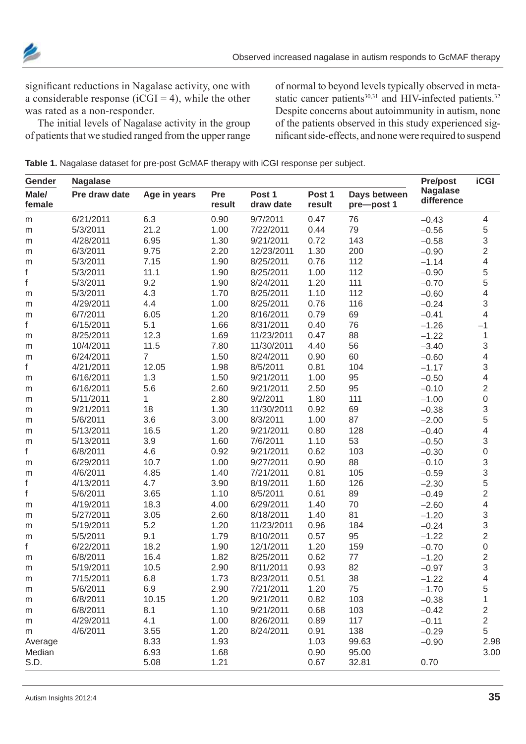

significant reductions in Nagalase activity, one with a considerable response ( $iCGI = 4$ ), while the other was rated as a non-responder.

The initial levels of Nagalase activity in the group of patients that we studied ranged from the upper range of normal to beyond levels typically observed in metastatic cancer patients<sup>30,31</sup> and HIV-infected patients.<sup>32</sup> Despite concerns about autoimmunity in autism, none of the patients observed in this study experienced significant side-effects, and none were required to suspend

**Table 1.** Nagalase dataset for pre-post GcMAF therapy with iCGI response per subject.

| Gender          | <b>Nagalase</b> |                |               |                     |                  |                            | <b>Pre/post</b>               | <b>iCGI</b>               |
|-----------------|-----------------|----------------|---------------|---------------------|------------------|----------------------------|-------------------------------|---------------------------|
| Male/<br>female | Pre draw date   | Age in years   | Pre<br>result | Post 1<br>draw date | Post 1<br>result | Days between<br>pre-post 1 | <b>Nagalase</b><br>difference |                           |
| ${\sf m}$       | 6/21/2011       | 6.3            | 0.90          | 9/7/2011            | 0.47             | 76                         | $-0.43$                       | 4                         |
| m               | 5/3/2011        | 21.2           | 1.00          | 7/22/2011           | 0.44             | 79                         | $-0.56$                       |                           |
| ${\sf m}$       | 4/28/2011       | 6.95           | 1.30          | 9/21/2011           | 0.72             | 143                        | $-0.58$                       | $\frac{5}{3}$             |
| ${\sf m}$       | 6/3/2011        | 9.75           | 2.20          | 12/23/2011          | 1.30             | 200                        | $-0.90$                       | $\overline{2}$            |
| ${\sf m}$       | 5/3/2011        | 7.15           | 1.90          | 8/25/2011           | 0.76             | 112                        | $-1.14$                       | 4                         |
| f               | 5/3/2011        | 11.1           | 1.90          | 8/25/2011           | 1.00             | 112                        | $-0.90$                       |                           |
| f               | 5/3/2011        | 9.2            | 1.90          | 8/24/2011           | 1.20             | 111                        | $-0.70$                       | $\frac{5}{5}$             |
| ${\sf m}$       | 5/3/2011        | 4.3            | 1.70          | 8/25/2011           | 1.10             | 112                        | $-0.60$                       | 4                         |
| ${\sf m}$       | 4/29/2011       | 4.4            | 1.00          | 8/25/2011           | 0.76             | 116                        | $-0.24$                       | $\mathsf 3$               |
| ${\sf m}$       | 6/7/2011        | 6.05           | 1.20          | 8/16/2011           | 0.79             | 69                         | $-0.41$                       | 4                         |
| f               | 6/15/2011       | 5.1            | 1.66          | 8/31/2011           | 0.40             | 76                         | $-1.26$                       | $-1$                      |
| m               | 8/25/2011       | 12.3           | 1.69          | 11/23/2011          | 0.47             | 88                         | $-1.22$                       | 1                         |
| ${\sf m}$       | 10/4/2011       | 11.5           | 7.80          | 11/30/2011          | 4.40             | 56                         | $-3.40$                       | $\,$ 3 $\,$               |
| ${\sf m}$       | 6/24/2011       | $\overline{7}$ | 1.50          | 8/24/2011           | 0.90             | 60                         | $-0.60$                       | 4                         |
| f               | 4/21/2011       | 12.05          | 1.98          | 8/5/2011            | 0.81             | 104                        | $-1.17$                       | $\mathsf 3$               |
| ${\sf m}$       | 6/16/2011       | 1.3            | 1.50          | 9/21/2011           | 1.00             | 95                         | $-0.50$                       | 4                         |
| ${\sf m}$       | 6/16/2011       | 5.6            | 2.60          | 9/21/2011           | 2.50             | 95                         | $-0.10$                       | $\overline{2}$            |
| ${\sf m}$       | 5/11/2011       | 1.             | 2.80          | 9/2/2011            | 1.80             | 111                        | $-1.00$                       | $\mathsf{O}\xspace$       |
| ${\sf m}$       | 9/21/2011       | 18             | 1.30          | 11/30/2011          | 0.92             | 69                         | $-0.38$                       | 3                         |
| ${\sf m}$       | 5/6/2011        | 3.6            | 3.00          | 8/3/2011            | 1.00             | 87                         | $-2.00$                       | 5                         |
| ${\sf m}$       | 5/13/2011       | 16.5           | 1.20          | 9/21/2011           | 0.80             | 128                        | $-0.40$                       | 4                         |
| m               | 5/13/2011       | 3.9            | 1.60          | 7/6/2011            | 1.10             | 53                         | $-0.50$                       | 3                         |
| f               | 6/8/2011        | 4.6            | 0.92          | 9/21/2011           | 0.62             | 103                        | $-0.30$                       | $\mathbf 0$               |
| ${\sf m}$       | 6/29/2011       | 10.7           | 1.00          | 9/27/2011           | 0.90             | 88                         | $-0.10$                       | $\ensuremath{\mathsf{3}}$ |
| ${\sf m}$       | 4/6/2011        | 4.85           | 1.40          | 7/21/2011           | 0.81             | 105                        | $-0.59$                       |                           |
| f               | 4/13/2011       | 4.7            | 3.90          | 8/19/2011           | 1.60             | 126                        | $-2.30$                       | $\frac{3}{5}$             |
| f               | 5/6/2011        | 3.65           | 1.10          | 8/5/2011            | 0.61             | 89                         | $-0.49$                       | $\overline{2}$            |
| ${\sf m}$       | 4/19/2011       | 18.3           | 4.00          | 6/29/2011           | 1.40             | 70                         | $-2.60$                       | 4                         |
| ${\sf m}$       | 5/27/2011       | 3.05           | 2.60          | 8/18/2011           | 1.40             | 81                         | $-1.20$                       | $\mathfrak{S}$            |
| ${\sf m}$       | 5/19/2011       | 5.2            | 1.20          | 11/23/2011          | 0.96             | 184                        | $-0.24$                       | 3                         |
| m               | 5/5/2011        | 9.1            | 1.79          | 8/10/2011           | 0.57             | 95                         | $-1.22$                       | $\overline{2}$            |
| f               | 6/22/2011       | 18.2           | 1.90          | 12/1/2011           | 1.20             | 159                        | $-0.70$                       | $\mathbf 0$               |
| ${\sf m}$       | 6/8/2011        | 16.4           | 1.82          | 8/25/2011           | 0.62             | 77                         | $-1.20$                       | $\overline{2}$            |
| m               | 5/19/2011       | 10.5           | 2.90          | 8/11/2011           | 0.93             | 82                         | $-0.97$                       | 3                         |
| m               | 7/15/2011       | 6.8            | 1.73          | 8/23/2011           | 0.51             | 38                         | $-1.22$                       | 4                         |
| m               | 5/6/2011        | 6.9            | 2.90          | 7/21/2011           | 1.20             | 75                         | $-1.70$                       | 5                         |
| m               | 6/8/2011        | 10.15          | 1.20          | 9/21/2011           | 0.82             | 103                        | $-0.38$                       | $\mathbf 1$               |
| m               | 6/8/2011        | 8.1            | 1.10          | 9/21/2011           | 0.68             | 103                        | $-0.42$                       | $\overline{\mathbf{c}}$   |
| m               | 4/29/2011       | 4.1            | 1.00          | 8/26/2011           | 0.89             | 117                        | $-0.11$                       | $\overline{\mathbf{c}}$   |
| m               | 4/6/2011        | 3.55           | 1.20          | 8/24/2011           | 0.91             | 138                        | $-0.29$                       | 5                         |
| Average         |                 | 8.33           | 1.93          |                     | 1.03             | 99.63                      | $-0.90$                       | 2.98                      |
| Median          |                 | 6.93           | 1.68          |                     | 0.90             | 95.00                      |                               | 3.00                      |
| S.D.            |                 | 5.08           | 1.21          |                     | 0.67             | 32.81                      | 0.70                          |                           |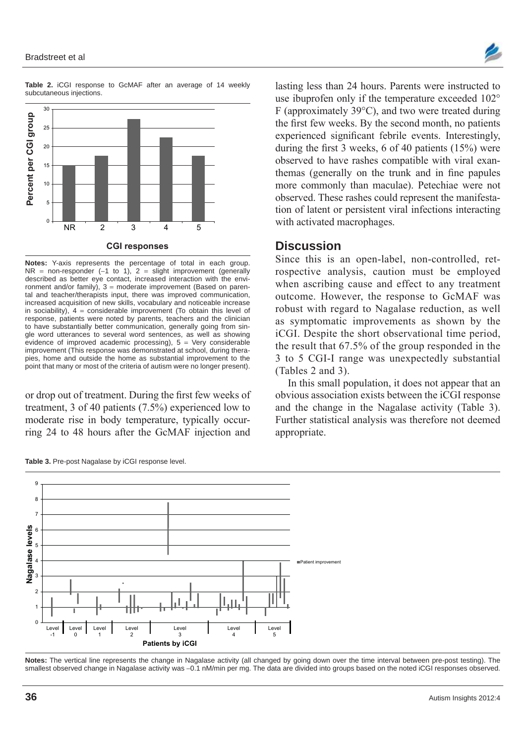



**Table 2.** iCGI response to GcMAF after an average of 14 weekly subcutaneous injections.

**Notes:** Y-axis represents the percentage of total in each group.  $NR = non-responder (-1 to 1), 2 = slight improvement (generally)$ described as better eye contact, increased interaction with the environment and/or family),  $3 =$  moderate improvement (Based on parental and teacher/therapists input, there was improved communication, increased acquisition of new skills, vocabulary and noticeable increase in sociability),  $4 =$  considerable improvement (To obtain this level of response, patients were noted by parents, teachers and the clinician to have substantially better communication, generally going from single word utterances to several word sentences, as well as showing evidence of improved academic processing),  $5 = \text{Very}}$  considerable improvement (This response was demonstrated at school, during therapies, home and outside the home as substantial improvement to the point that many or most of the criteria of autism were no longer present).

or drop out of treatment. During the first few weeks of treatment, 3 of 40 patients (7.5%) experienced low to moderate rise in body temperature, typically occurring 24 to 48 hours after the GcMAF injection and

**Table 3.** Pre-post Nagalase by iCGI response level.



lasting less than 24 hours. Parents were instructed to use ibuprofen only if the temperature exceeded  $102^{\circ}$  $F$  (approximately 39 $^{\circ}$ C), and two were treated during the first few weeks. By the second month, no patients experienced significant febrile events. Interestingly, during the first 3 weeks, 6 of 40 patients (15%) were observed to have rashes compatible with viral exanthemas (generally on the trunk and in fine papules more commonly than maculae). Petechiae were not observed. These rashes could represent the manifestation of latent or persistent viral infections interacting with activated macrophages.

#### **Discussion**

Since this is an open-label, non-controlled, retrospective analysis, caution must be employed when ascribing cause and effect to any treatment outcome. However, the response to GcMAF was robust with regard to Nagalase reduction, as well as symptomatic improvements as shown by the iCGI. Despite the short observational time period, the result that 67.5% of the group responded in the 3 to 5 CGI-I range was unexpectedly substantial (Tables 2 and 3).

In this small population, it does not appear that an obvious association exists between the iCGI response and the change in the Nagalase activity (Table 3). Further statistical analysis was therefore not deemed appropriate.

**Notes:** The vertical line represents the change in Nagalase activity (all changed by going down over the time interval between pre-post testing). The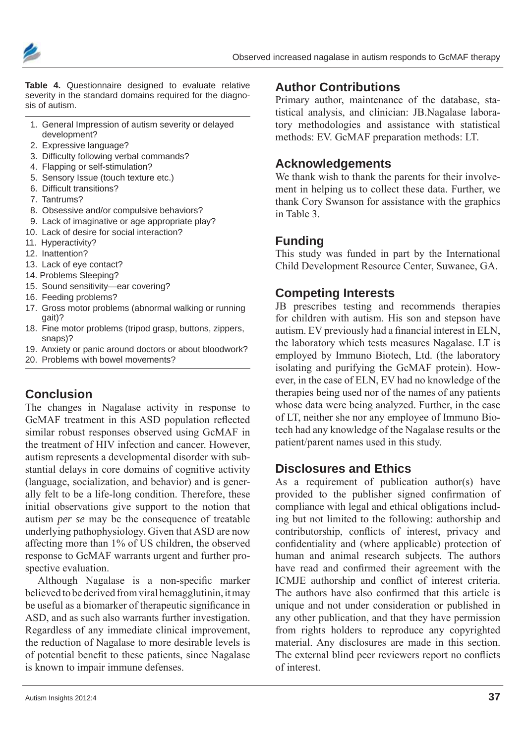



**Table 4.** Questionnaire designed to evaluate relative severity in the standard domains required for the diagnosis of autism.

- 1. General Impression of autism severity or delayed development?
- 2. Expressive language?
- 3. Difficulty following verbal commands?
- 4. Flapping or self-stimulation?
- 5. Sensory Issue (touch texture etc.)
- 6. Difficult transitions?
- 7. Tantrums?
- 8. Obsessive and/or compulsive behaviors?
- 9. Lack of imaginative or age appropriate play?
- 10. Lack of desire for social interaction?
- 11. Hyperactivity?
- 12. Inattention?
- 13. Lack of eye contact?
- 14. Problems Sleeping?
- 15. Sound sensitivity—ear covering?
- 16. Feeding problems?
- 17. Gross motor problems (abnormal walking or running gait)?
- 18. Fine motor problems (tripod grasp, buttons, zippers, snaps)?
- 19. Anxiety or panic around doctors or about bloodwork?
- 20. Problems with bowel movements?

# **Conclusion**

The changes in Nagalase activity in response to GcMAF treatment in this ASD population reflected similar robust responses observed using GcMAF in the treatment of HIV infection and cancer. However, autism represents a developmental disorder with substantial delays in core domains of cognitive activity (language, socialization, and behavior) and is generally felt to be a life-long condition. Therefore, these initial observations give support to the notion that autism *per se* may be the consequence of treatable underlying pathophysiology. Given that ASD are now affecting more than 1% of US children, the observed response to GcMAF warrants urgent and further prospective evaluation.

Although Nagalase is a non-specific marker believed to be derived from viral hemagglutinin, it may be useful as a biomarker of therapeutic significance in ASD, and as such also warrants further investigation. Regardless of any immediate clinical improvement, the reduction of Nagalase to more desirable levels is of potential benefit to these patients, since Nagalase is known to impair immune defenses.

Primary author, maintenance of the database, statistical analysis, and clinician: JB.Nagalase laboratory methodologies and assistance with statistical methods: EV. GcMAF preparation methods: LT.

#### **Acknowledgements**

**Author Contributions**

We thank wish to thank the parents for their involvement in helping us to collect these data. Further, we thank Cory Swanson for assistance with the graphics in Table 3.

## **Funding**

This study was funded in part by the International Child Development Resource Center, Suwanee, GA.

## **Competing Interests**

JB prescribes testing and recommends therapies for children with autism. His son and stepson have autism. EV previously had a financial interest in ELN, the laboratory which tests measures Nagalase. LT is employed by Immuno Biotech, Ltd. (the laboratory isolating and purifying the GcMAF protein). However, in the case of ELN, EV had no knowledge of the therapies being used nor of the names of any patients whose data were being analyzed. Further, in the case of LT, neither she nor any employee of Immuno Biotech had any knowledge of the Nagalase results or the patient/parent names used in this study.

## **Disclosures and Ethics**

As a requirement of publication author(s) have provided to the publisher signed confirmation of compliance with legal and ethical obligations including but not limited to the following: authorship and contributorship, conflicts of interest, privacy and confidentiality and (where applicable) protection of human and animal research subjects. The authors have read and confirmed their agreement with the ICMJE authorship and conflict of interest criteria. The authors have also confirmed that this article is unique and not under consideration or published in any other publication, and that they have permission from rights holders to reproduce any copyrighted material. Any disclosures are made in this section. The external blind peer reviewers report no conflicts of interest.